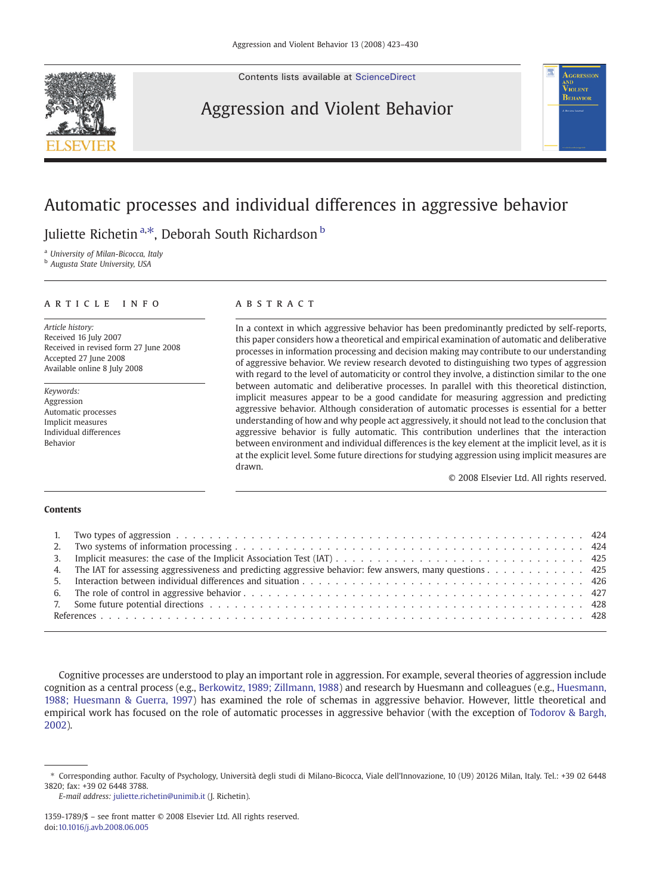Contents lists available at [ScienceDirect](http://www.sciencedirect.com/science/journal/13591789)

# Aggression and Violent Behavior



# Automatic processes and individual differences in aggressive behavior

Juliette Richetin <sup>a,\*</sup>, Deborah South Richardson <sup>b</sup>

<sup>a</sup> University of Milan-Bicocca, Italy

**b** Augusta State University, USA

#### article info abstract

Article history: Received 16 July 2007 Received in revised form 27 June 2008 Accepted 27 June 2008 Available online 8 July 2008

Keywords: Aggression Automatic processes Implicit measures Individual differences Behavior

In a context in which aggressive behavior has been predominantly predicted by self-reports, this paper considers how a theoretical and empirical examination of automatic and deliberative processes in information processing and decision making may contribute to our understanding of aggressive behavior. We review research devoted to distinguishing two types of aggression with regard to the level of automaticity or control they involve, a distinction similar to the one between automatic and deliberative processes. In parallel with this theoretical distinction, implicit measures appear to be a good candidate for measuring aggression and predicting aggressive behavior. Although consideration of automatic processes is essential for a better understanding of how and why people act aggressively, it should not lead to the conclusion that aggressive behavior is fully automatic. This contribution underlines that the interaction between environment and individual differences is the key element at the implicit level, as it is at the explicit level. Some future directions for studying aggression using implicit measures are drawn.

© 2008 Elsevier Ltd. All rights reserved.

# Contents

| 4. The IAT for assessing aggressiveness and predicting aggressive behavior: few answers, many questions 425 |  |
|-------------------------------------------------------------------------------------------------------------|--|
|                                                                                                             |  |
|                                                                                                             |  |
|                                                                                                             |  |
|                                                                                                             |  |

Cognitive processes are understood to play an important role in aggression. For example, several theories of aggression include cognition as a central process (e.g., [Berkowitz, 1989; Zillmann, 1988](#page-6-0)) and research by Huesmann and colleagues (e.g., [Huesmann,](#page-6-0) [1988; Huesmann & Guerra, 1997](#page-6-0)) has examined the role of schemas in aggressive behavior. However, little theoretical and empirical work has focused on the role of automatic processes in aggressive behavior (with the exception of [Todorov & Bargh,](#page-7-0) [2002](#page-7-0)).

<sup>⁎</sup> Corresponding author. Faculty of Psychology, Università degli studi di Milano-Bicocca, Viale dell'Innovazione, 10 (U9) 20126 Milan, Italy. Tel.: +39 02 6448 3820; fax: +39 02 6448 3788.

E-mail address: [juliette.richetin@unimib.it](mailto:juliette.richetin@unimib.it) (J. Richetin).

<sup>1359-1789/\$</sup> – see front matter © 2008 Elsevier Ltd. All rights reserved. doi[:10.1016/j.avb.2008.06.005](http://dx.doi.org/10.1016/j.avb.2008.06.005)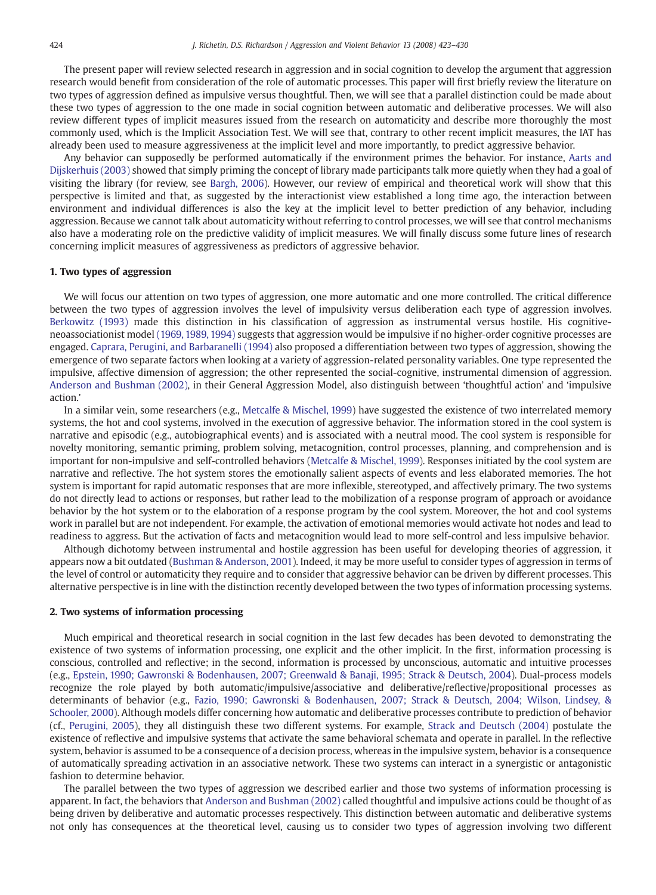The present paper will review selected research in aggression and in social cognition to develop the argument that aggression research would benefit from consideration of the role of automatic processes. This paper will first briefly review the literature on two types of aggression defined as impulsive versus thoughtful. Then, we will see that a parallel distinction could be made about these two types of aggression to the one made in social cognition between automatic and deliberative processes. We will also review different types of implicit measures issued from the research on automaticity and describe more thoroughly the most commonly used, which is the Implicit Association Test. We will see that, contrary to other recent implicit measures, the IAT has already been used to measure aggressiveness at the implicit level and more importantly, to predict aggressive behavior.

Any behavior can supposedly be performed automatically if the environment primes the behavior. For instance, [Aarts and](#page-5-0) [Dijskerhuis \(2003\)](#page-5-0) showed that simply priming the concept of library made participants talk more quietly when they had a goal of visiting the library (for review, see [Bargh, 2006](#page-6-0)). However, our review of empirical and theoretical work will show that this perspective is limited and that, as suggested by the interactionist view established a long time ago, the interaction between environment and individual differences is also the key at the implicit level to better prediction of any behavior, including aggression. Because we cannot talk about automaticity without referring to control processes, we will see that control mechanisms also have a moderating role on the predictive validity of implicit measures. We will finally discuss some future lines of research concerning implicit measures of aggressiveness as predictors of aggressive behavior.

## 1. Two types of aggression

We will focus our attention on two types of aggression, one more automatic and one more controlled. The critical difference between the two types of aggression involves the level of impulsivity versus deliberation each type of aggression involves. [Berkowitz \(1993\)](#page-6-0) made this distinction in his classification of aggression as instrumental versus hostile. His cognitiveneoassociationist model [\(1969, 1989, 1994\)](#page-6-0) suggests that aggression would be impulsive if no higher-order cognitive processes are engaged. [Caprara, Perugini, and Barbaranelli \(1994\)](#page-6-0) also proposed a differentiation between two types of aggression, showing the emergence of two separate factors when looking at a variety of aggression-related personality variables. One type represented the impulsive, affective dimension of aggression; the other represented the social-cognitive, instrumental dimension of aggression. [Anderson and Bushman \(2002\),](#page-5-0) in their General Aggression Model, also distinguish between 'thoughtful action' and 'impulsive action.'

In a similar vein, some researchers (e.g., [Metcalfe & Mischel, 1999](#page-7-0)) have suggested the existence of two interrelated memory systems, the hot and cool systems, involved in the execution of aggressive behavior. The information stored in the cool system is narrative and episodic (e.g., autobiographical events) and is associated with a neutral mood. The cool system is responsible for novelty monitoring, semantic priming, problem solving, metacognition, control processes, planning, and comprehension and is important for non-impulsive and self-controlled behaviors ([Metcalfe & Mischel, 1999\)](#page-7-0). Responses initiated by the cool system are narrative and reflective. The hot system stores the emotionally salient aspects of events and less elaborated memories. The hot system is important for rapid automatic responses that are more inflexible, stereotyped, and affectively primary. The two systems do not directly lead to actions or responses, but rather lead to the mobilization of a response program of approach or avoidance behavior by the hot system or to the elaboration of a response program by the cool system. Moreover, the hot and cool systems work in parallel but are not independent. For example, the activation of emotional memories would activate hot nodes and lead to readiness to aggress. But the activation of facts and metacognition would lead to more self-control and less impulsive behavior.

Although dichotomy between instrumental and hostile aggression has been useful for developing theories of aggression, it appears now a bit outdated [\(Bushman & Anderson, 2001\)](#page-6-0). Indeed, it may be more useful to consider types of aggression in terms of the level of control or automaticity they require and to consider that aggressive behavior can be driven by different processes. This alternative perspective is in line with the distinction recently developed between the two types of information processing systems.

#### 2. Two systems of information processing

Much empirical and theoretical research in social cognition in the last few decades has been devoted to demonstrating the existence of two systems of information processing, one explicit and the other implicit. In the first, information processing is conscious, controlled and reflective; in the second, information is processed by unconscious, automatic and intuitive processes (e.g., [Epstein, 1990; Gawronski & Bodenhausen, 2007; Greenwald & Banaji, 1995; Strack & Deutsch, 2004](#page-6-0)). Dual-process models recognize the role played by both automatic/impulsive/associative and deliberative/reflective/propositional processes as determinants of behavior (e.g., [Fazio, 1990; Gawronski & Bodenhausen, 2007; Strack & Deutsch, 2004; Wilson, Lindsey, &](#page-6-0) [Schooler, 2000](#page-6-0)). Although models differ concerning how automatic and deliberative processes contribute to prediction of behavior (cf., [Perugini, 2005\)](#page-7-0), they all distinguish these two different systems. For example, [Strack and Deutsch \(2004\)](#page-7-0) postulate the existence of reflective and impulsive systems that activate the same behavioral schemata and operate in parallel. In the reflective system, behavior is assumed to be a consequence of a decision process, whereas in the impulsive system, behavior is a consequence of automatically spreading activation in an associative network. These two systems can interact in a synergistic or antagonistic fashion to determine behavior.

The parallel between the two types of aggression we described earlier and those two systems of information processing is apparent. In fact, the behaviors that [Anderson and Bushman \(2002\)](#page-5-0) called thoughtful and impulsive actions could be thought of as being driven by deliberative and automatic processes respectively. This distinction between automatic and deliberative systems not only has consequences at the theoretical level, causing us to consider two types of aggression involving two different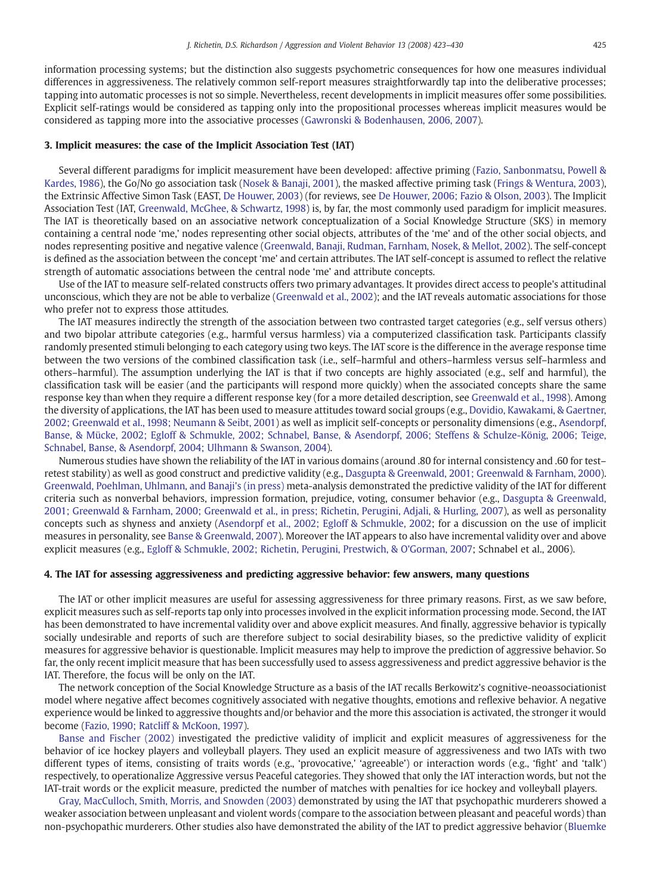information processing systems; but the distinction also suggests psychometric consequences for how one measures individual differences in aggressiveness. The relatively common self-report measures straightforwardly tap into the deliberative processes; tapping into automatic processes is not so simple. Nevertheless, recent developments in implicit measures offer some possibilities. Explicit self-ratings would be considered as tapping only into the propositional processes whereas implicit measures would be considered as tapping more into the associative processes ([Gawronski & Bodenhausen, 2006, 2007](#page-6-0)).

# 3. Implicit measures: the case of the Implicit Association Test (IAT)

Several different paradigms for implicit measurement have been developed: affective priming [\(Fazio, Sanbonmatsu, Powell &](#page-6-0) [Kardes, 1986\)](#page-6-0), the Go/No go association task [\(Nosek & Banaji, 2001\)](#page-7-0), the masked affective priming task ([Frings & Wentura, 2003](#page-6-0)), the Extrinsic Affective Simon Task (EAST, [De Houwer, 2003](#page-6-0)) (for reviews, see [De Houwer, 2006; Fazio & Olson, 2003\)](#page-6-0). The Implicit Association Test (IAT, [Greenwald, McGhee, & Schwartz, 1998\)](#page-6-0) is, by far, the most commonly used paradigm for implicit measures. The IAT is theoretically based on an associative network conceptualization of a Social Knowledge Structure (SKS) in memory containing a central node 'me,' nodes representing other social objects, attributes of the 'me' and of the other social objects, and nodes representing positive and negative valence [\(Greenwald, Banaji, Rudman, Farnham, Nosek, & Mellot, 2002](#page-6-0)). The self-concept is defined as the association between the concept 'me' and certain attributes. The IAT self-concept is assumed to reflect the relative strength of automatic associations between the central node 'me' and attribute concepts.

Use of the IAT to measure self-related constructs offers two primary advantages. It provides direct access to people's attitudinal unconscious, which they are not be able to verbalize [\(Greenwald et al., 2002\)](#page-6-0); and the IAT reveals automatic associations for those who prefer not to express those attitudes.

The IAT measures indirectly the strength of the association between two contrasted target categories (e.g., self versus others) and two bipolar attribute categories (e.g., harmful versus harmless) via a computerized classification task. Participants classify randomly presented stimuli belonging to each category using two keys. The IAT score is the difference in the average response time between the two versions of the combined classification task (i.e., self–harmful and others–harmless versus self–harmless and others–harmful). The assumption underlying the IAT is that if two concepts are highly associated (e.g., self and harmful), the classification task will be easier (and the participants will respond more quickly) when the associated concepts share the same response key than when they require a different response key (for a more detailed description, see [Greenwald et al., 1998](#page-6-0)). Among the diversity of applications, the IAT has been used to measure attitudes toward social groups (e.g., [Dovidio, Kawakami, & Gaertner,](#page-6-0) [2002; Greenwald et al., 1998; Neumann & Seibt, 2001\)](#page-6-0) as well as implicit self-concepts or personality dimensions (e.g., [Asendorpf,](#page-5-0) [Banse, & Mücke, 2002; Egloff & Schmukle, 2002; Schnabel, Banse, & Asendorpf, 2006; Steffens & Schulze-König, 2006; Teige,](#page-5-0) [Schnabel, Banse, & Asendorpf, 2004; Ulhmann & Swanson, 2004](#page-5-0)).

Numerous studies have shown the reliability of the IAT in various domains (around .80 for internal consistency and .60 for test– retest stability) as well as good construct and predictive validity (e.g., [Dasgupta & Greenwald, 2001; Greenwald & Farnham, 2000](#page-6-0)). [Greenwald, Poehlman, Uhlmann, and Banaji's \(in press\)](#page-6-0) meta-analysis demonstrated the predictive validity of the IAT for different criteria such as nonverbal behaviors, impression formation, prejudice, voting, consumer behavior (e.g., [Dasgupta & Greenwald,](#page-6-0) [2001; Greenwald & Farnham, 2000; Greenwald et al., in press; Richetin, Perugini, Adjali, & Hurling, 2007\)](#page-6-0), as well as personality concepts such as shyness and anxiety [\(Asendorpf et al., 2002; Egloff & Schmukle, 2002](#page-5-0); for a discussion on the use of implicit measures in personality, see [Banse & Greenwald, 2007\)](#page-5-0). Moreover the IAT appears to also have incremental validity over and above explicit measures (e.g., [Egloff & Schmukle, 2002; Richetin, Perugini, Prestwich, & O'Gorman, 2007](#page-6-0); Schnabel et al., 2006).

## 4. The IAT for assessing aggressiveness and predicting aggressive behavior: few answers, many questions

The IAT or other implicit measures are useful for assessing aggressiveness for three primary reasons. First, as we saw before, explicit measures such as self-reports tap only into processes involved in the explicit information processing mode. Second, the IAT has been demonstrated to have incremental validity over and above explicit measures. And finally, aggressive behavior is typically socially undesirable and reports of such are therefore subject to social desirability biases, so the predictive validity of explicit measures for aggressive behavior is questionable. Implicit measures may help to improve the prediction of aggressive behavior. So far, the only recent implicit measure that has been successfully used to assess aggressiveness and predict aggressive behavior is the IAT. Therefore, the focus will be only on the IAT.

The network conception of the Social Knowledge Structure as a basis of the IAT recalls Berkowitz's cognitive-neoassociationist model where negative affect becomes cognitively associated with negative thoughts, emotions and reflexive behavior. A negative experience would be linked to aggressive thoughts and/or behavior and the more this association is activated, the stronger it would become [\(Fazio, 1990; Ratcliff & McKoon, 1997\)](#page-6-0).

[Banse and Fischer \(2002\)](#page-5-0) investigated the predictive validity of implicit and explicit measures of aggressiveness for the behavior of ice hockey players and volleyball players. They used an explicit measure of aggressiveness and two IATs with two different types of items, consisting of traits words (e.g., 'provocative,' 'agreeable') or interaction words (e.g., 'fight' and 'talk') respectively, to operationalize Aggressive versus Peaceful categories. They showed that only the IAT interaction words, but not the IAT-trait words or the explicit measure, predicted the number of matches with penalties for ice hockey and volleyball players.

[Gray, MacCulloch, Smith, Morris, and Snowden \(2003\)](#page-6-0) demonstrated by using the IAT that psychopathic murderers showed a weaker association between unpleasant and violent words (compare to the association between pleasant and peaceful words) than non-psychopathic murderers. Other studies also have demonstrated the ability of the IAT to predict aggressive behavior [\(Bluemke](#page-6-0)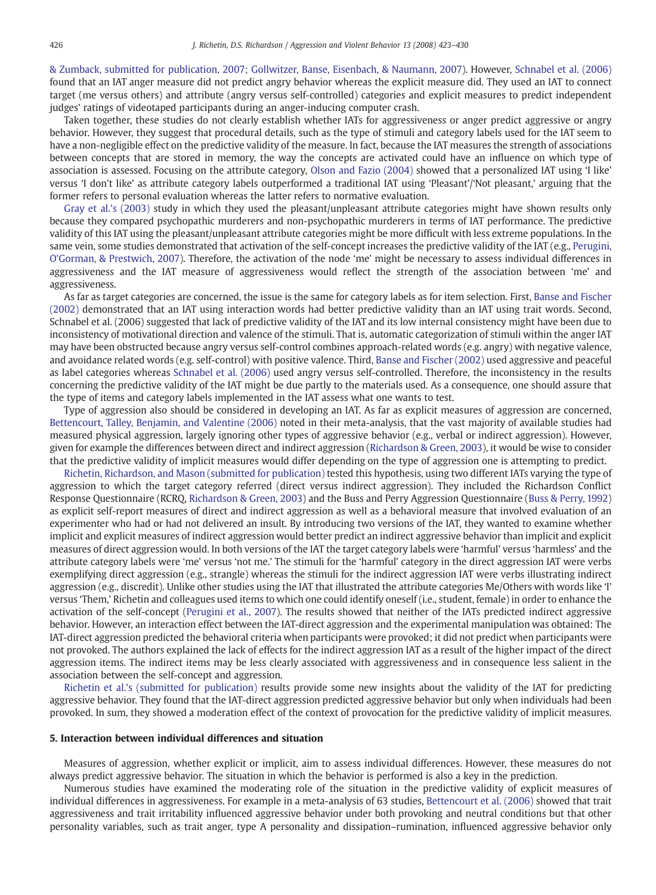[& Zumback, submitted for publication, 2007; Gollwitzer, Banse, Eisenbach, & Naumann, 2007](#page-6-0)). However, [Schnabel et al. \(2006\)](#page-7-0) found that an IAT anger measure did not predict angry behavior whereas the explicit measure did. They used an IAT to connect target (me versus others) and attribute (angry versus self-controlled) categories and explicit measures to predict independent judges' ratings of videotaped participants during an anger-inducing computer crash.

Taken together, these studies do not clearly establish whether IATs for aggressiveness or anger predict aggressive or angry behavior. However, they suggest that procedural details, such as the type of stimuli and category labels used for the IAT seem to have a non-negligible effect on the predictive validity of the measure. In fact, because the IAT measures the strength of associations between concepts that are stored in memory, the way the concepts are activated could have an influence on which type of association is assessed. Focusing on the attribute category, [Olson and Fazio \(2004\)](#page-7-0) showed that a personalized IAT using 'I like' versus 'I don't like' as attribute category labels outperformed a traditional IAT using 'Pleasant'/'Not pleasant,' arguing that the former refers to personal evaluation whereas the latter refers to normative evaluation.

[Gray et al.'s \(2003\)](#page-6-0) study in which they used the pleasant/unpleasant attribute categories might have shown results only because they compared psychopathic murderers and non-psychopathic murderers in terms of IAT performance. The predictive validity of this IAT using the pleasant/unpleasant attribute categories might be more difficult with less extreme populations. In the same vein, some studies demonstrated that activation of the self-concept increases the predictive validity of the IAT (e.g., [Perugini,](#page-7-0) [O'Gorman, & Prestwich, 2007](#page-7-0)). Therefore, the activation of the node 'me' might be necessary to assess individual differences in aggressiveness and the IAT measure of aggressiveness would reflect the strength of the association between 'me' and aggressiveness.

As far as target categories are concerned, the issue is the same for category labels as for item selection. First, [Banse and Fischer](#page-5-0) [\(2002\)](#page-5-0) demonstrated that an IAT using interaction words had better predictive validity than an IAT using trait words. Second, Schnabel et al. (2006) suggested that lack of predictive validity of the IAT and its low internal consistency might have been due to inconsistency of motivational direction and valence of the stimuli. That is, automatic categorization of stimuli within the anger IAT may have been obstructed because angry versus self-control combines approach-related words (e.g. angry) with negative valence, and avoidance related words (e.g. self-control) with positive valence. Third, [Banse and Fischer \(2002\)](#page-5-0) used aggressive and peaceful as label categories whereas [Schnabel et al. \(2006\)](#page-7-0) used angry versus self-controlled. Therefore, the inconsistency in the results concerning the predictive validity of the IAT might be due partly to the materials used. As a consequence, one should assure that the type of items and category labels implemented in the IAT assess what one wants to test.

Type of aggression also should be considered in developing an IAT. As far as explicit measures of aggression are concerned, [Bettencourt, Talley, Benjamin, and Valentine \(2006\)](#page-6-0) noted in their meta-analysis, that the vast majority of available studies had measured physical aggression, largely ignoring other types of aggressive behavior (e.g., verbal or indirect aggression). However, given for example the differences between direct and indirect aggression ([Richardson & Green, 2003](#page-7-0)), it would be wise to consider that the predictive validity of implicit measures would differ depending on the type of aggression one is attempting to predict.

[Richetin, Richardson, and Mason \(submitted for publication\)](#page-7-0) tested this hypothesis, using two different IATs varying the type of aggression to which the target category referred (direct versus indirect aggression). They included the Richardson Conflict Response Questionnaire (RCRQ, [Richardson & Green, 2003\)](#page-7-0) and the Buss and Perry Aggression Questionnaire ([Buss & Perry, 1992\)](#page-6-0) as explicit self-report measures of direct and indirect aggression as well as a behavioral measure that involved evaluation of an experimenter who had or had not delivered an insult. By introducing two versions of the IAT, they wanted to examine whether implicit and explicit measures of indirect aggression would better predict an indirect aggressive behavior than implicit and explicit measures of direct aggression would. In both versions of the IAT the target category labels were 'harmful' versus 'harmless' and the attribute category labels were 'me' versus 'not me.' The stimuli for the 'harmful' category in the direct aggression IAT were verbs exemplifying direct aggression (e.g., strangle) whereas the stimuli for the indirect aggression IAT were verbs illustrating indirect aggression (e.g., discredit). Unlike other studies using the IAT that illustrated the attribute categories Me/Others with words like 'I' versus 'Them,' Richetin and colleagues used items to which one could identify oneself (i.e., student, female) in order to enhance the activation of the self-concept ([Perugini et al., 2007](#page-7-0)). The results showed that neither of the IATs predicted indirect aggressive behavior. However, an interaction effect between the IAT-direct aggression and the experimental manipulation was obtained: The IAT-direct aggression predicted the behavioral criteria when participants were provoked; it did not predict when participants were not provoked. The authors explained the lack of effects for the indirect aggression IAT as a result of the higher impact of the direct aggression items. The indirect items may be less clearly associated with aggressiveness and in consequence less salient in the association between the self-concept and aggression.

[Richetin et al.'s \(submitted for publication\)](#page-7-0) results provide some new insights about the validity of the IAT for predicting aggressive behavior. They found that the IAT-direct aggression predicted aggressive behavior but only when individuals had been provoked. In sum, they showed a moderation effect of the context of provocation for the predictive validity of implicit measures.

# 5. Interaction between individual differences and situation

Measures of aggression, whether explicit or implicit, aim to assess individual differences. However, these measures do not always predict aggressive behavior. The situation in which the behavior is performed is also a key in the prediction.

Numerous studies have examined the moderating role of the situation in the predictive validity of explicit measures of individual differences in aggressiveness. For example in a meta-analysis of 63 studies, [Bettencourt et al. \(2006\)](#page-6-0) showed that trait aggressiveness and trait irritability influenced aggressive behavior under both provoking and neutral conditions but that other personality variables, such as trait anger, type A personality and dissipation–rumination, influenced aggressive behavior only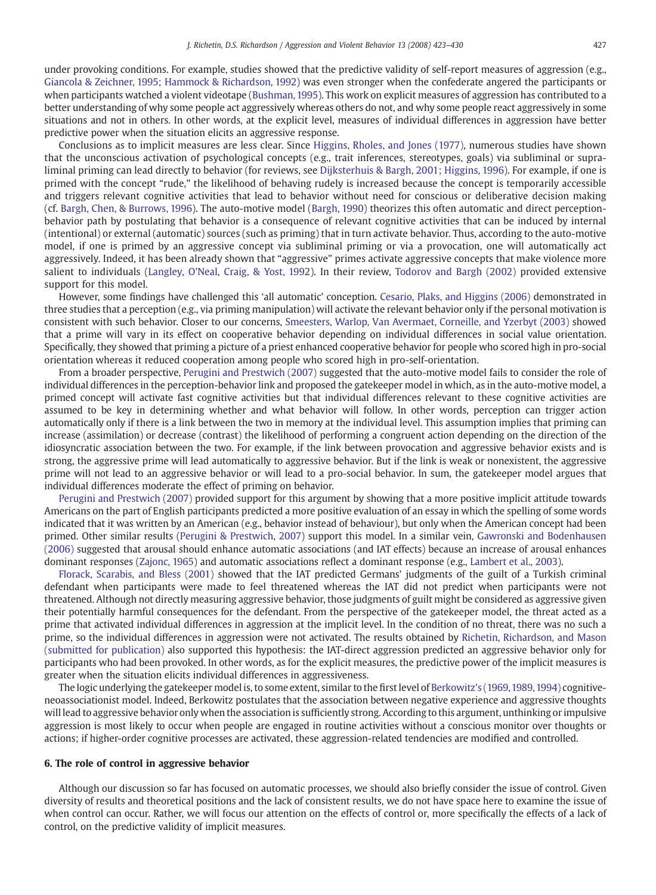under provoking conditions. For example, studies showed that the predictive validity of self-report measures of aggression (e.g., [Giancola & Zeichner, 1995; Hammock & Richardson, 1992](#page-6-0)) was even stronger when the confederate angered the participants or when participants watched a violent videotape [\(Bushman, 1995\)](#page-6-0). This work on explicit measures of aggression has contributed to a better understanding of why some people act aggressively whereas others do not, and why some people react aggressively in some situations and not in others. In other words, at the explicit level, measures of individual differences in aggression have better predictive power when the situation elicits an aggressive response.

Conclusions as to implicit measures are less clear. Since [Higgins, Rholes, and Jones \(1977\),](#page-6-0) numerous studies have shown that the unconscious activation of psychological concepts (e.g., trait inferences, stereotypes, goals) via subliminal or supraliminal priming can lead directly to behavior (for reviews, see [Dijksterhuis & Bargh, 2001; Higgins, 1996](#page-6-0)). For example, if one is primed with the concept "rude," the likelihood of behaving rudely is increased because the concept is temporarily accessible and triggers relevant cognitive activities that lead to behavior without need for conscious or deliberative decision making (cf. [Bargh, Chen, & Burrows, 1996](#page-6-0)). The auto-motive model ([Bargh, 1990\)](#page-6-0) theorizes this often automatic and direct perceptionbehavior path by postulating that behavior is a consequence of relevant cognitive activities that can be induced by internal (intentional) or external (automatic) sources (such as priming) that in turn activate behavior. Thus, according to the auto-motive model, if one is primed by an aggressive concept via subliminal priming or via a provocation, one will automatically act aggressively. Indeed, it has been already shown that "aggressive" primes activate aggressive concepts that make violence more salient to individuals ([Langley, O'Neal, Craig, & Yost, 1992](#page-7-0)). In their review, [Todorov and Bargh \(2002\)](#page-7-0) provided extensive support for this model.

However, some findings have challenged this 'all automatic' conception. [Cesario, Plaks, and Higgins \(2006\)](#page-6-0) demonstrated in three studies that a perception (e.g., via priming manipulation) will activate the relevant behavior only if the personal motivation is consistent with such behavior. Closer to our concerns, [Smeesters, Warlop, Van Avermaet, Corneille, and Yzerbyt \(2003\)](#page-7-0) showed that a prime will vary in its effect on cooperative behavior depending on individual differences in social value orientation. Specifically, they showed that priming a picture of a priest enhanced cooperative behavior for people who scored high in pro-social orientation whereas it reduced cooperation among people who scored high in pro-self-orientation.

From a broader perspective, [Perugini and Prestwich \(2007\)](#page-7-0) suggested that the auto-motive model fails to consider the role of individual differences in the perception-behavior link and proposed the gatekeeper model in which, as in the auto-motive model, a primed concept will activate fast cognitive activities but that individual differences relevant to these cognitive activities are assumed to be key in determining whether and what behavior will follow. In other words, perception can trigger action automatically only if there is a link between the two in memory at the individual level. This assumption implies that priming can increase (assimilation) or decrease (contrast) the likelihood of performing a congruent action depending on the direction of the idiosyncratic association between the two. For example, if the link between provocation and aggressive behavior exists and is strong, the aggressive prime will lead automatically to aggressive behavior. But if the link is weak or nonexistent, the aggressive prime will not lead to an aggressive behavior or will lead to a pro-social behavior. In sum, the gatekeeper model argues that individual differences moderate the effect of priming on behavior.

[Perugini and Prestwich \(2007\)](#page-7-0) provided support for this argument by showing that a more positive implicit attitude towards Americans on the part of English participants predicted a more positive evaluation of an essay in which the spelling of some words indicated that it was written by an American (e.g., behavior instead of behaviour), but only when the American concept had been primed. Other similar results [\(Perugini & Prestwich, 2007\)](#page-7-0) support this model. In a similar vein, [Gawronski and Bodenhausen](#page-6-0) [\(2006\)](#page-6-0) suggested that arousal should enhance automatic associations (and IAT effects) because an increase of arousal enhances dominant responses ([Zajonc, 1965\)](#page-7-0) and automatic associations reflect a dominant response (e.g., [Lambert et al., 2003\)](#page-7-0).

[Florack, Scarabis, and Bless \(2001\)](#page-6-0) showed that the IAT predicted Germans' judgments of the guilt of a Turkish criminal defendant when participants were made to feel threatened whereas the IAT did not predict when participants were not threatened. Although not directly measuring aggressive behavior, those judgments of guilt might be considered as aggressive given their potentially harmful consequences for the defendant. From the perspective of the gatekeeper model, the threat acted as a prime that activated individual differences in aggression at the implicit level. In the condition of no threat, there was no such a prime, so the individual differences in aggression were not activated. The results obtained by [Richetin, Richardson, and Mason](#page-7-0) [\(submitted for publication\)](#page-7-0) also supported this hypothesis: the IAT-direct aggression predicted an aggressive behavior only for participants who had been provoked. In other words, as for the explicit measures, the predictive power of the implicit measures is greater when the situation elicits individual differences in aggressiveness.

The logic underlying the gatekeeper model is, to some extent, similar to the first level of [Berkowitz's \(1969,1989,1994\)](#page-6-0) cognitiveneoassociationist model. Indeed, Berkowitz postulates that the association between negative experience and aggressive thoughts will lead to aggressive behavior only when the association is sufficiently strong. According to this argument, unthinking or impulsive aggression is most likely to occur when people are engaged in routine activities without a conscious monitor over thoughts or actions; if higher-order cognitive processes are activated, these aggression-related tendencies are modified and controlled.

### 6. The role of control in aggressive behavior

Although our discussion so far has focused on automatic processes, we should also briefly consider the issue of control. Given diversity of results and theoretical positions and the lack of consistent results, we do not have space here to examine the issue of when control can occur. Rather, we will focus our attention on the effects of control or, more specifically the effects of a lack of control, on the predictive validity of implicit measures.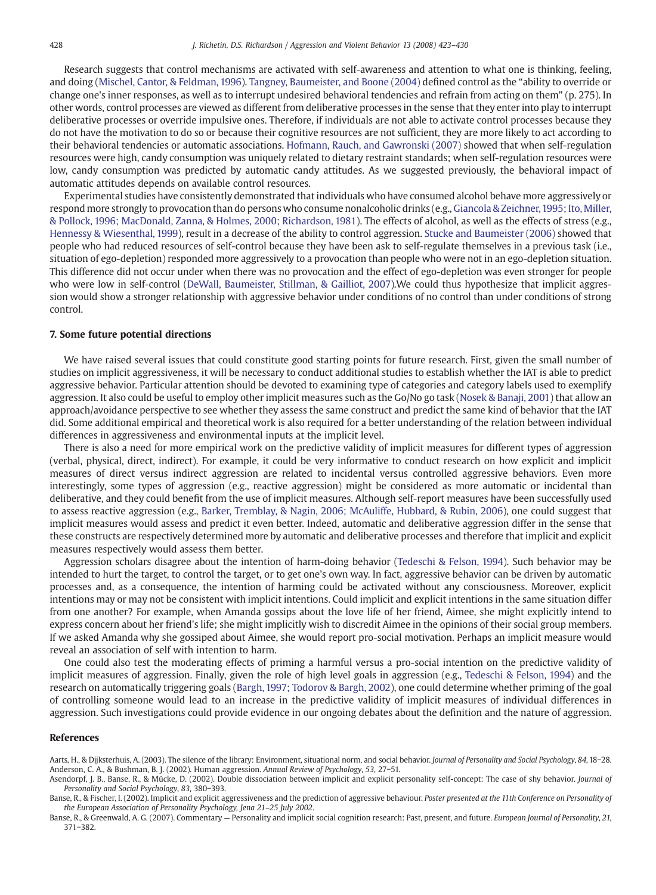<span id="page-5-0"></span>Research suggests that control mechanisms are activated with self-awareness and attention to what one is thinking, feeling, and doing ([Mischel, Cantor, & Feldman, 1996](#page-7-0)). [Tangney, Baumeister, and Boone \(2004\)](#page-7-0) defined control as the "ability to override or change one's inner responses, as well as to interrupt undesired behavioral tendencies and refrain from acting on them" (p. 275). In other words, control processes are viewed as different from deliberative processes in the sense that they enter into play to interrupt deliberative processes or override impulsive ones. Therefore, if individuals are not able to activate control processes because they do not have the motivation to do so or because their cognitive resources are not sufficient, they are more likely to act according to their behavioral tendencies or automatic associations. [Hofmann, Rauch, and Gawronski \(2007\)](#page-6-0) showed that when self-regulation resources were high, candy consumption was uniquely related to dietary restraint standards; when self-regulation resources were low, candy consumption was predicted by automatic candy attitudes. As we suggested previously, the behavioral impact of automatic attitudes depends on available control resources.

Experimental studies have consistently demonstrated that individuals who have consumed alcohol behave more aggressively or respond more strongly to provocation than do persons who consume nonalcoholic drinks (e.g.,[Giancola & Zeichner,1995; Ito, Miller,](#page-6-0) [& Pollock, 1996; MacDonald, Zanna, & Holmes, 2000; Richardson, 1981\)](#page-6-0). The effects of alcohol, as well as the effects of stress (e.g., [Hennessy & Wiesenthal, 1999\)](#page-6-0), result in a decrease of the ability to control aggression. [Stucke and Baumeister \(2006\)](#page-7-0) showed that people who had reduced resources of self-control because they have been ask to self-regulate themselves in a previous task (i.e., situation of ego-depletion) responded more aggressively to a provocation than people who were not in an ego-depletion situation. This difference did not occur under when there was no provocation and the effect of ego-depletion was even stronger for people who were low in self-control [\(DeWall, Baumeister, Stillman, & Gailliot, 2007](#page-6-0)).We could thus hypothesize that implicit aggression would show a stronger relationship with aggressive behavior under conditions of no control than under conditions of strong control.

#### 7. Some future potential directions

We have raised several issues that could constitute good starting points for future research. First, given the small number of studies on implicit aggressiveness, it will be necessary to conduct additional studies to establish whether the IAT is able to predict aggressive behavior. Particular attention should be devoted to examining type of categories and category labels used to exemplify aggression. It also could be useful to employ other implicit measures such as the Go/No go task ([Nosek & Banaji, 2001](#page-7-0)) that allow an approach/avoidance perspective to see whether they assess the same construct and predict the same kind of behavior that the IAT did. Some additional empirical and theoretical work is also required for a better understanding of the relation between individual differences in aggressiveness and environmental inputs at the implicit level.

There is also a need for more empirical work on the predictive validity of implicit measures for different types of aggression (verbal, physical, direct, indirect). For example, it could be very informative to conduct research on how explicit and implicit measures of direct versus indirect aggression are related to incidental versus controlled aggressive behaviors. Even more interestingly, some types of aggression (e.g., reactive aggression) might be considered as more automatic or incidental than deliberative, and they could benefit from the use of implicit measures. Although self-report measures have been successfully used to assess reactive aggression (e.g., [Barker, Tremblay, & Nagin, 2006; McAuliffe, Hubbard, & Rubin, 2006](#page-6-0)), one could suggest that implicit measures would assess and predict it even better. Indeed, automatic and deliberative aggression differ in the sense that these constructs are respectively determined more by automatic and deliberative processes and therefore that implicit and explicit measures respectively would assess them better.

Aggression scholars disagree about the intention of harm-doing behavior ([Tedeschi & Felson, 1994\)](#page-7-0). Such behavior may be intended to hurt the target, to control the target, or to get one's own way. In fact, aggressive behavior can be driven by automatic processes and, as a consequence, the intention of harming could be activated without any consciousness. Moreover, explicit intentions may or may not be consistent with implicit intentions. Could implicit and explicit intentions in the same situation differ from one another? For example, when Amanda gossips about the love life of her friend, Aimee, she might explicitly intend to express concern about her friend's life; she might implicitly wish to discredit Aimee in the opinions of their social group members. If we asked Amanda why she gossiped about Aimee, she would report pro-social motivation. Perhaps an implicit measure would reveal an association of self with intention to harm.

One could also test the moderating effects of priming a harmful versus a pro-social intention on the predictive validity of implicit measures of aggression. Finally, given the role of high level goals in aggression (e.g., [Tedeschi & Felson, 1994](#page-7-0)) and the research on automatically triggering goals [\(Bargh, 1997; Todorov & Bargh, 2002](#page-6-0)), one could determine whether priming of the goal of controlling someone would lead to an increase in the predictive validity of implicit measures of individual differences in aggression. Such investigations could provide evidence in our ongoing debates about the definition and the nature of aggression.

### References

- Aarts, H., & Dijksterhuis, A. (2003). The silence of the library: Environment, situational norm, and social behavior. Journal of Personality and Social Psychology, 84, 18−28. Anderson, C. A., & Bushman, B. J. (2002). Human aggression. Annual Review of Psychology, 53, 27−51.
- Asendorpf, J. B., Banse, R., & Mücke, D. (2002). Double dissociation between implicit and explicit personality self-concept: The case of shy behavior. Journal of Personality and Social Psychology, 83, 380−393.
- Banse, R., & Fischer, I. (2002). Implicit and explicit aggressiveness and the prediction of aggressive behaviour. Poster presented at the 11th Conference on Personality of the European Association of Personality Psychology, Jena 21–25 July 2002.

Banse, R., & Greenwald, A. G. (2007). Commentary - Personality and implicit social cognition research: Past, present, and future. European Journal of Personality, 21, 371−382.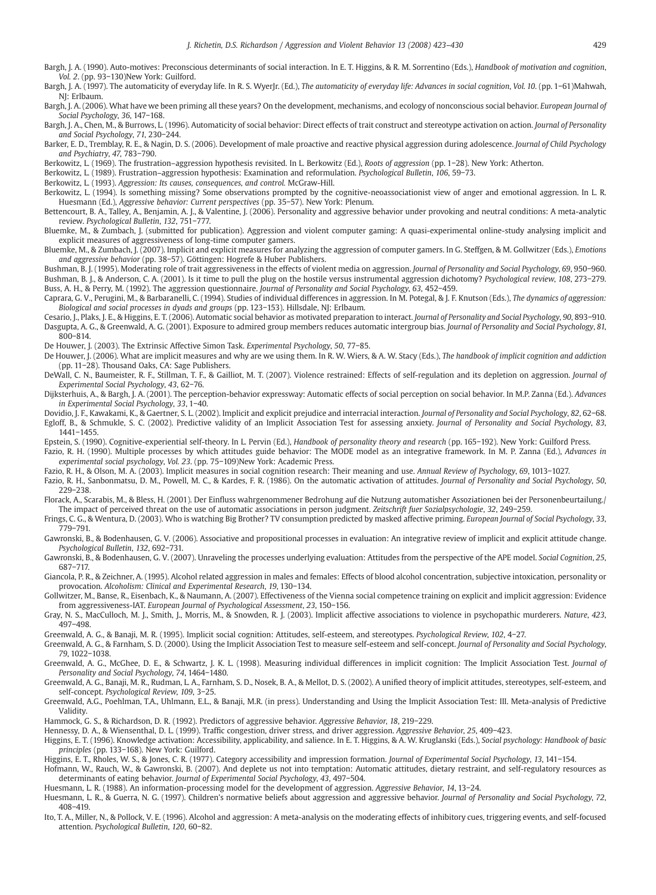- <span id="page-6-0"></span>Bargh, J. A. (1990). Auto-motives: Preconscious determinants of social interaction. In E. T. Higgins, & R. M. Sorrentino (Eds.), Handbook of motivation and cognition, Vol. 2. (pp. 93−130)New York: Guilford.
- Bargh, J. A. (1997). The automaticity of everyday life. In R. S. WyerJr. (Ed.), The automaticity of everyday life: Advances in social cognition, Vol. 10. (pp. 1-61)Mahwah, NJ: Erlbaum.
- Bargh, J. A. (2006). What have we been priming all these years? On the development, mechanisms, and ecology of nonconscious social behavior. European Journal of Social Psychology, 36, 147−168.
- Bargh, J. A., Chen, M., & Burrows, L. (1996). Automaticity of social behavior: Direct effects of trait construct and stereotype activation on action. Journal of Personality and Social Psychology, 71, 230−244.
- Barker, E. D., Tremblay, R. E., & Nagin, D. S. (2006). Development of male proactive and reactive physical aggression during adolescence. Journal of Child Psychology and Psychiatry, 47, 783−790.
- Berkowitz, L. (1969). The frustration–aggression hypothesis revisited. In L. Berkowitz (Ed.), Roots of aggression (pp. 1−28). New York: Atherton.
- Berkowitz, L. (1989). Frustration–aggression hypothesis: Examination and reformulation. Psychological Bulletin, 106, 59−73.
- Berkowitz, L. (1993). Aggression: Its causes, consequences, and control. McGraw-Hill.
- Berkowitz, L. (1994). Is something missing? Some observations prompted by the cognitive-neoassociationist view of anger and emotional aggression. In L. R. Huesmann (Ed.), Aggressive behavior: Current perspectives (pp. 35−57). New York: Plenum.
- Bettencourt, B. A., Talley, A., Benjamin, A. J., & Valentine, J. (2006). Personality and aggressive behavior under provoking and neutral conditions: A meta-analytic review. Psychological Bulletin, 132, 751−777.
- Bluemke, M., & Zumbach, J. (submitted for publication). Aggression and violent computer gaming: A quasi-experimental online-study analysing implicit and explicit measures of aggressiveness of long-time computer gamers.
- Bluemke, M., & Zumbach, J. (2007). Implicit and explicit measures for analyzing the aggression of computer gamers. In G. Steffgen, & M. Gollwitzer (Eds.), Emotions and aggressive behavior (pp. 38−57). Göttingen: Hogrefe & Huber Publishers.
- Bushman, B. J. (1995). Moderating role of trait aggressiveness in the effects of violent media on aggression. Journal of Personality and Social Psychology, 69, 950-960. Bushman, B. J., & Anderson, C. A. (2001). Is it time to pull the plug on the hostile versus instrumental aggression dichotomy? Psychological review, 108, 273-279. Buss, A. H., & Perry, M. (1992). The aggression questionnaire. Journal of Personality and Social Psychology, 63, 452−459.
- Caprara, G. V., Perugini, M., & Barbaranelli, C. (1994). Studies of individual differences in aggression. In M. Potegal, & J. F. Knutson (Eds.), The dynamics of aggression: Biological and social processes in dyads and groups (pp. 123−153). Hillsdale, NJ: Erlbaum.
- Cesario, J., Plaks, J. E., & Higgins, E. T. (2006). Automatic social behavior as motivated preparation to interact. Journal of Personality and Social Psychology, 90, 893−910. Dasgupta, A. G., & Greenwald, A. G. (2001). Exposure to admired group members reduces automatic intergroup bias. Journal of Personality and Social Psychology, 81, 800−814.
- De Houwer, J. (2003). The Extrinsic Affective Simon Task. Experimental Psychology, 50, 77−85.
- De Houwer, J. (2006). What are implicit measures and why are we using them. In R. W. Wiers, & A. W. Stacy (Eds.), The handbook of implicit cognition and addiction (pp. 11−28). Thousand Oaks, CA: Sage Publishers.
- DeWall, C. N., Baumeister, R. F., Stillman, T. F., & Gailliot, M. T. (2007). Violence restrained: Effects of self-regulation and its depletion on aggression. Journal of Experimental Social Psychology, 43, 62−76.
- Dijksterhuis, A., & Bargh, J. A. (2001). The perception-behavior expressway: Automatic effects of social perception on social behavior. In M.P. Zanna (Ed.). Advances in Experimental Social Psychology, 33, 1−40.
- Dovidio, J. F., Kawakami, K., & Gaertner, S. L. (2002). Implicit and explicit prejudice and interracial interaction. Journal of Personality and Social Psychology, 82, 62−68.
- Egloff, B., & Schmukle, S. C. (2002). Predictive validity of an Implicit Association Test for assessing anxiety. Journal of Personality and Social Psychology, 83, 1441−1455.
- Epstein, S. (1990). Cognitive-experiential self-theory. In L. Pervin (Ed.), Handbook of personality theory and research (pp. 165−192). New York: Guilford Press. Fazio, R. H. (1990). Multiple processes by which attitudes guide behavior: The MODE model as an integrative framework. In M. P. Zanna (Ed.), Advances in experimental social psychology, Vol. 23. (pp. 75−109)New York: Academic Press.
- Fazio, R. H., & Olson, M. A. (2003). Implicit measures in social cognition research: Their meaning and use. Annual Review of Psychology, 69, 1013−1027.
- Fazio, R. H., Sanbonmatsu, D. M., Powell, M. C., & Kardes, F. R. (1986). On the automatic activation of attitudes. Journal of Personality and Social Psychology, 50, 229−238.
- Florack, A., Scarabis, M., & Bless, H. (2001). Der Einfluss wahrgenommener Bedrohung auf die Nutzung automatisher Assoziationen bei der Personenbeurtailung./ The impact of perceived threat on the use of automatic associations in person judgment. Zeitschrift fuer Sozialpsychologie, 32, 249−259.
- Frings, C. G., & Wentura, D. (2003). Who is watching Big Brother? TV consumption predicted by masked affective priming. European Journal of Social Psychology, 33, 779−791.
- Gawronski, B., & Bodenhausen, G. V. (2006). Associative and propositional processes in evaluation: An integrative review of implicit and explicit attitude change. Psychological Bulletin, 132, 692−731.
- Gawronski, B., & Bodenhausen, G. V. (2007). Unraveling the processes underlying evaluation: Attitudes from the perspective of the APE model. Social Cognition, 25, 687−717.
- Giancola, P. R., & Zeichner, A. (1995). Alcohol related aggression in males and females: Effects of blood alcohol concentration, subjective intoxication, personality or provocation. Alcoholism: Clinical and Experimental Research, 19, 130−134.
- Gollwitzer, M., Banse, R., Eisenbach, K., & Naumann, A. (2007). Effectiveness of the Vienna social competence training on explicit and implicit aggression: Evidence from aggressiveness-IAT. European Journal of Psychological Assessment, 23, 150−156.
- Gray, N. S., MacCulloch, M. J., Smith, J., Morris, M., & Snowden, R. J. (2003). Implicit affective associations to violence in psychopathic murderers. Nature, 423, 497−498.
- Greenwald, A. G., & Banaji, M. R. (1995). Implicit social cognition: Attitudes, self-esteem, and stereotypes. Psychological Review, 102, 4−27.
- Greenwald, A. G., & Farnham, S. D. (2000). Using the Implicit Association Test to measure self-esteem and self-concept. Journal of Personality and Social Psychology, 79, 1022−1038.
- Greenwald, A. G., McGhee, D. E., & Schwartz, J. K. L. (1998). Measuring individual differences in implicit cognition: The Implicit Association Test. Journal of Personality and Social Psychology, 74, 1464−1480.
- Greenwald, A. G., Banaji, M. R., Rudman, L. A., Farnham, S. D., Nosek, B. A., & Mellot, D. S. (2002). A unified theory of implicit attitudes, stereotypes, self-esteem, and self-concept. Psychological Review, 109, 3−25.
- Greenwald, A.G., Poehlman, T.A., Uhlmann, E.L., & Banaji, M.R. (in press). Understanding and Using the Implicit Association Test: III. Meta-analysis of Predictive Validity.
- Hammock, G. S., & Richardson, D. R. (1992). Predictors of aggressive behavior. Aggressive Behavior, 18, 219−229.
- Hennessy, D. A., & Wiensenthal, D. L. (1999). Traffic congestion, driver stress, and driver aggression. Aggressive Behavior, 25, 409−423.
- Higgins, E. T. (1996). Knowledge activation: Accessibility, applicability, and salience. In E. T. Higgins, & A. W. Kruglanski (Eds.), Social psychology: Handbook of basic principles (pp. 133−168). New York: Guilford.
- Higgins, E. T., Rholes, W. S., & Jones, C. R. (1977). Category accessibility and impression formation. Journal of Experimental Social Psychology, 13, 141−154.
- Hofmann, W., Rauch, W., & Gawronski, B. (2007). And deplete us not into temptation: Automatic attitudes, dietary restraint, and self-regulatory resources as determinants of eating behavior. Journal of Experimental Social Psychology, 43, 497−504.
- Huesmann, L. R. (1988). An information-processing model for the development of aggression. Aggressive Behavior, 14, 13−24.
- Huesmann, L. R., & Guerra, N. G. (1997). Children's normative beliefs about aggression and aggressive behavior. Journal of Personality and Social Psychology, 72, 408−419.
- Ito, T. A., Miller, N., & Pollock, V. E. (1996). Alcohol and aggression: A meta-analysis on the moderating effects of inhibitory cues, triggering events, and self-focused attention. Psychological Bulletin, 120, 60−82.